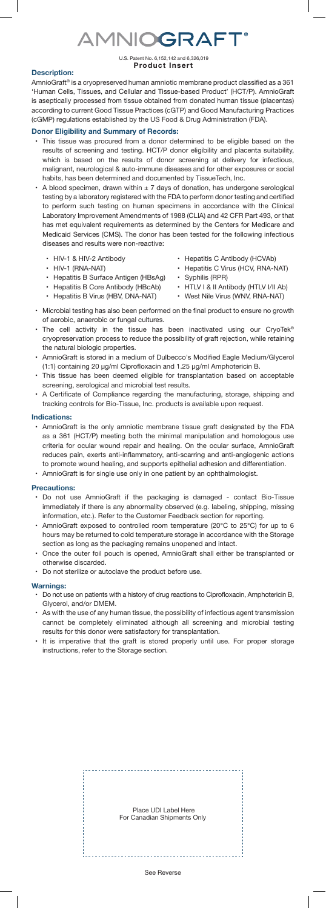# **AMNIOGRAFT®**

#### U.S. Patent No. 6,152,142 and 6,326,019 **Product Insert**

## **Description:**

AmnioGraft® is a cryopreserved human amniotic membrane product classified as a 361 'Human Cells, Tissues, and Cellular and Tissue-based Product' (HCT/P). AmnioGraft is aseptically processed from tissue obtained from donated human tissue (placentas) according to current Good Tissue Practices (cGTP) and Good Manufacturing Practices (cGMP) regulations established by the US Food & Drug Administration (FDA).

#### **Donor Eligibility and Summary of Records:**

- This tissue was procured from a donor determined to be eligible based on the results of screening and testing. HCT/P donor eligibility and placenta suitability, which is based on the results of donor screening at delivery for infectious, malignant, neurological & auto-immune diseases and for other exposures or social habits, has been determined and documented by TissueTech, Inc.
- A blood specimen, drawn within  $\pm$  7 days of donation, has undergone serological testing by a laboratory registered with the FDA to perform donor testing and certified to perform such testing on human specimens in accordance with the Clinical Laboratory Improvement Amendments of 1988 (CLIA) and 42 CFR Part 493, or that has met equivalent requirements as determined by the Centers for Medicare and Medicaid Services (CMS). The donor has been tested for the following infectious diseases and results were non-reactive:
	- HIV-1 & HIV-2 Antibody
	- HIV-1 (RNA-NAT)
	- Hepatitis B Surface Antigen (HBsAg)
- Hepatitis C Antibody (HCVAb)
- Hepatitis C Virus (HCV, RNA-NAT)
- Syphilis (RPR)
	- HTLV I & II Antibody (HTLV I/II Ab)
- Hepatitis B Core Antibody (HBcAb) • Hepatitis B Virus (HBV, DNA-NAT)
- West Nile Virus (WNV, RNA-NAT)
- Microbial testing has also been performed on the final product to ensure no growth of aerobic, anaerobic or fungal cultures.
- The cell activity in the tissue has been inactivated using our CryoTek® cryopreservation process to reduce the possibility of graft rejection, while retaining the natural biologic properties.
- AmnioGraft is stored in a medium of Dulbecco's Modified Eagle Medium/Glycerol (1:1) containing 20 µg/ml Ciprofloxacin and 1.25 µg/ml Amphotericin B.
- This tissue has been deemed eligible for transplantation based on acceptable screening, serological and microbial test results.
- A Certificate of Compliance regarding the manufacturing, storage, shipping and tracking controls for Bio-Tissue, Inc. products is available upon request.

#### **Indications:**

• AmnioGraft is the only amniotic membrane tissue graft designated by the FDA as a 361 (HCT/P) meeting both the minimal manipulation and homologous use criteria for ocular wound repair and healing. On the ocular surface, AmnioGraft reduces pain, exerts anti-inflammatory, anti-scarring and anti-angiogenic actions to promote wound healing, and supports epithelial adhesion and differentiation. • AmnioGraft is for single use only in one patient by an ophthalmologist.

### **Precautions:**

- Do not use AmnioGraft if the packaging is damaged contact Bio-Tissue immediately if there is any abnormality observed (e.g. labeling, shipping, missing information, etc.). Refer to the Customer Feedback section for reporting.
- AmnioGraft exposed to controlled room temperature (20°C to 25°C) for up to 6 hours may be returned to cold temperature storage in accordance with the Storage section as long as the packaging remains unopened and intact.
- Once the outer foil pouch is opened, AmnioGraft shall either be transplanted or otherwise discarded.
- Do not sterilize or autoclave the product before use.

#### **Warnings:**

- Do not use on patients with a history of drug reactions to Ciprofloxacin, Amphotericin B, Glycerol, and/or DMEM.
- As with the use of any human tissue, the possibility of infectious agent transmission cannot be completely eliminated although all screening and microbial testing results for this donor were satisfactory for transplantation.
- It is imperative that the graft is stored properly until use. For proper storage instructions, refer to the Storage section.

 Place UDI Label Here For Canadian Shipments Only See Reverse